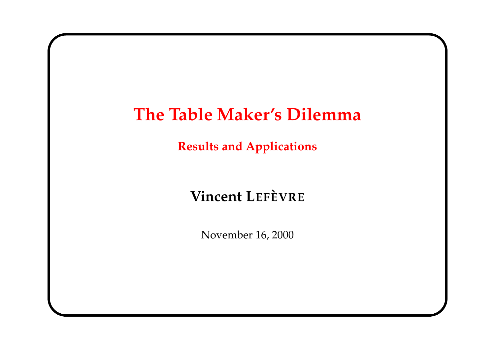# **The Table Maker's Dilemma**

**Results and Applications**

## $V$ **incent** LEFE<sup>VRE</sup>

November 16, 2000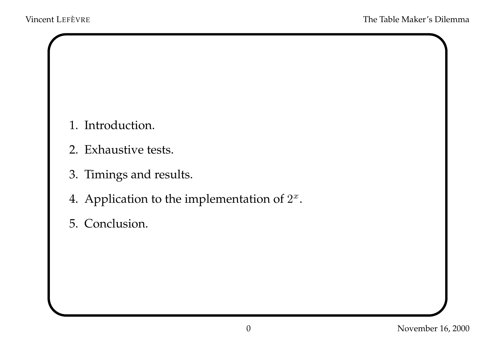- 1. Introduction.
- 2. Exhaustive tests.
- 3. Timings and results.
- 4. Application to the implementation of  $2^x$ .
- 5. Conclusion.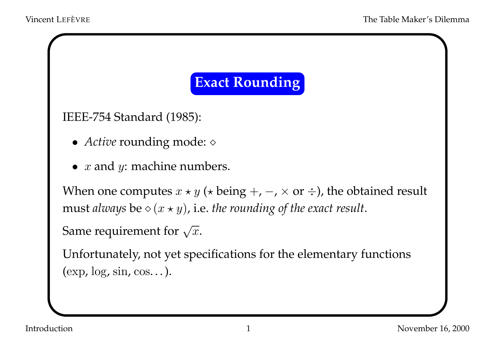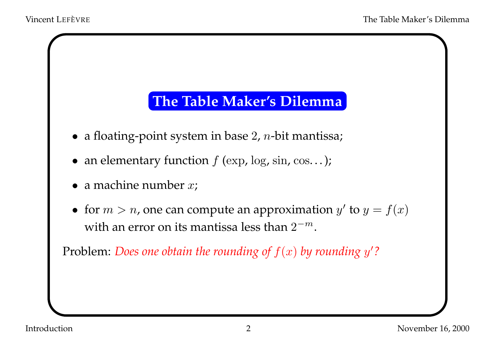### **The Table Maker's Dilemma**

- $\bullet\,$  a floating-point system in base 2,  $n$ -bit mantissa;
- an elementary function  $f$  (exp, log, sin, cos...);
- a machine number  $x$ ;
- for  $m > n$ , one can compute an approximation  $y'$  to  $y = f(x)$ with an error on its mantissa less than  $2^{-m}$ .

Problem: *Does one obtain the rounding* of  $f(x)$  *by rounding*  $y'$ ?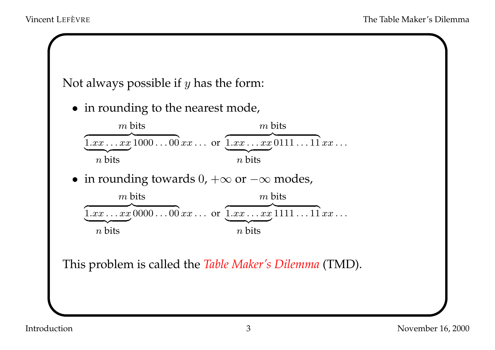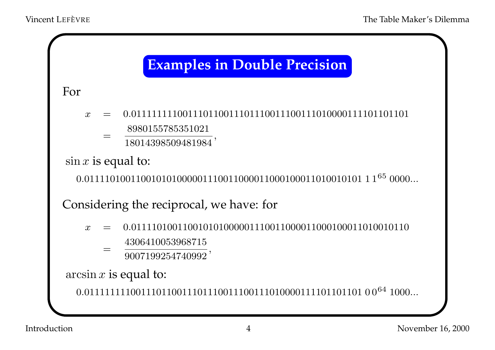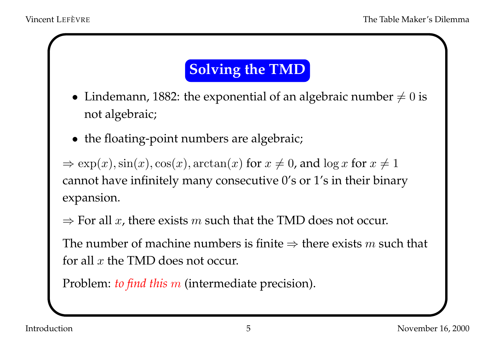# **Solving the TMD**

- $\bullet~$  Lindemann, 1882: the exponential of an algebraic number  $\neq 0$  is not algebraic;
- the floating-point numbers are algebraic;

 $\Rightarrow \exp(x), \sin(x), \cos(x), \arctan(x)$  for  $x \neq 0$ , and  $\log x$  for  $x \neq 1$ cannot have infinitely many consecutive 0's or 1's in their binary expansion.

 $\Rightarrow$  For all x, there exists m such that the TMD does not occur.

The number of machine numbers is finite  $\Rightarrow$  there exists m such that for all  $x$  the TMD does not occur.

Problem: *to find this* <sup>m</sup> (intermediate precision).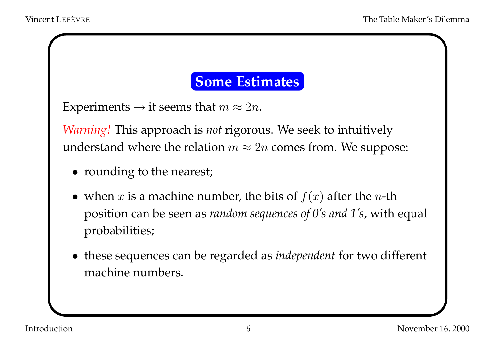#### **Some Estimates**

```
Experiments \rightarrow it seems that m \approx 2n.
```
*Warning!* This approach is *not* rigorous. We seek to intuitively understand where the relation  $m \approx 2n$  comes from. We suppose:

- rounding to the nearest;
- when x is a machine number, the bits of  $f(x)$  after the n-th position can be seen as *random sequences of 0's and 1's*, with equal probabilities;
- these sequences can be regarded as *independent* for two different machine numbers.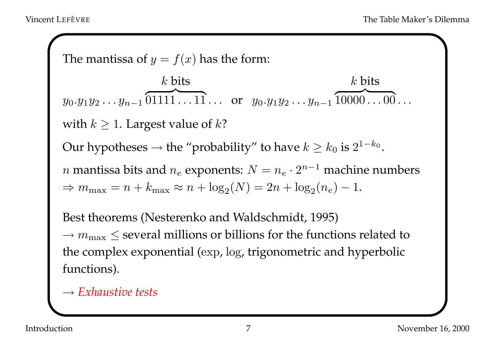The mantissa of <sup>y</sup> <sup>=</sup> f(x) has the form: y0.y1y2 . . . y<sup>n</sup>−1 k bits <sup>z</sup> }| { 01111 . . . 11 . . . or y0.y1y<sup>2</sup> . . . y<sup>n</sup>−<sup>1</sup> k bits <sup>z</sup> }| { 10000 . . . 00 . . . with <sup>k</sup> ≥ <sup>1</sup>. Largest value of <sup>k</sup>? Our hypotheses <sup>→</sup> the "probability" to have <sup>k</sup> <sup>≥</sup> <sup>k</sup><sup>0</sup> is <sup>2</sup><sup>1</sup>−k<sup>0</sup> . <sup>n</sup> mantissa bits and <sup>n</sup><sup>e</sup> exponents: <sup>N</sup> <sup>=</sup> <sup>n</sup><sup>e</sup> · <sup>2</sup><sup>n</sup>−<sup>1</sup> machine numbers <sup>⇒</sup> <sup>m</sup>max <sup>=</sup> <sup>n</sup> <sup>+</sup> kmax <sup>≈</sup> <sup>n</sup> <sup>+</sup> log2(N) <sup>=</sup> <sup>2</sup><sup>n</sup> <sup>+</sup> log2(<sup>n</sup>e) <sup>−</sup> <sup>1</sup>. Best theorems (Nesterenko and Waldschmidt, 1995) → <sup>m</sup>max ≤ several millions or billions for the functions related to the complex exponential (exp, log, trigonometric and hyperbolic functions).

→ *Exhaustive tests*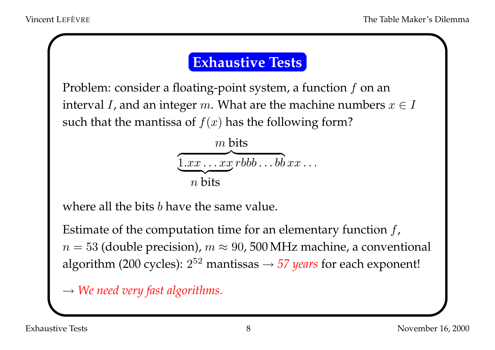## **Exhaustive Tests**

Problem: consider a floating-point system, a function  $f$  on an interval *I*, and an integer m. What are the machine numbers  $x \in I$ such that the mantissa of  $f(x)$  has the following form?



where all the bits b have the same value.

Estimate of the computation time for an elementary function  $f$ ,  $n = 53$  (double precision),  $m \approx 90$ , 500 MHz machine, a conventional algorithm (200 cycles):  $2^{52}$  mantissas  $\rightarrow$  57 *years* for each exponent!

→ *We need very fast algorithms.*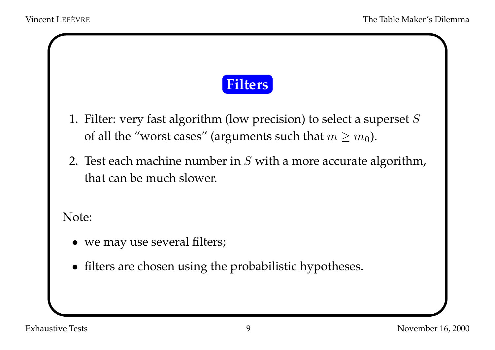

- 1. Filter: very fast algorithm (low precision) to select <sup>a</sup> superse<sup>t</sup> S of all the "worst cases" (arguments such that  $m \ge m_0$ ).
- 2. Test each machine number in S with <sup>a</sup> more accurate algorithm, that can be much slower.

Note:

- we may use several filters;
- filters are chosen using the probabilistic hypotheses.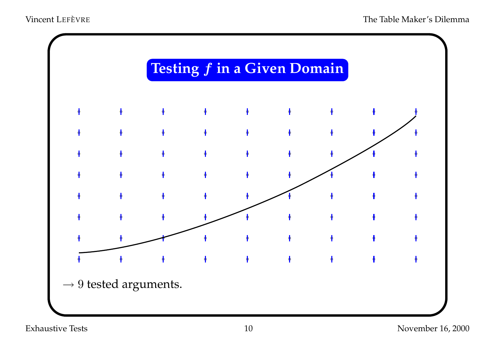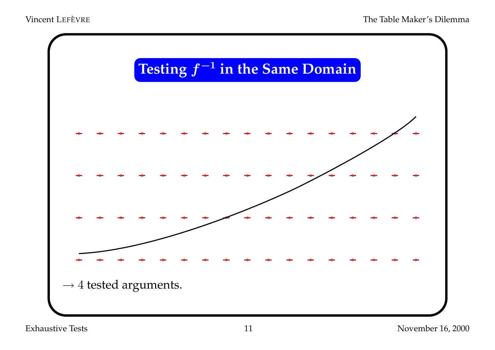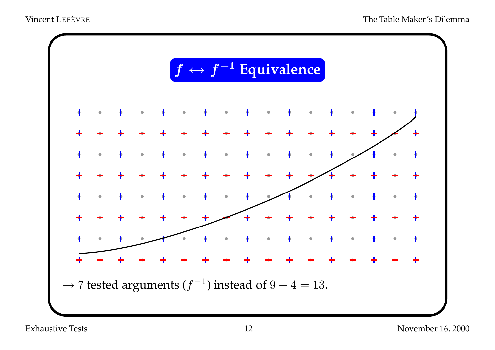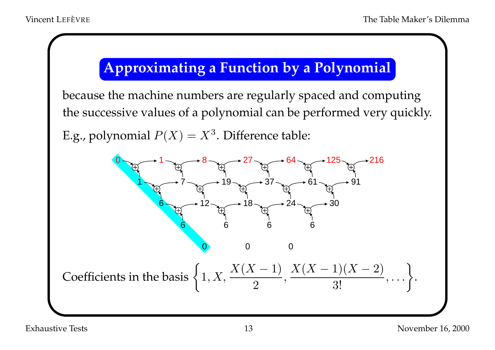## **Approximating <sup>a</sup> Function by <sup>a</sup> Polynomial**

because the machine numbers are regularly spaced and computing the successive values of <sup>a</sup> polynomial can be performed very quickly. E.g., polynomial  $P(X) = X^3$ . Difference table:  $0 \rightarrow 1 \rightarrow 8 \rightarrow 27 \rightarrow 64 \rightarrow 125 \rightarrow 216$  $1 \rightarrow 7 \rightarrow 19 \rightarrow 37 \rightarrow 61 \rightarrow 91$  $6 \rightarrow 12 \rightarrow \rightarrow 18 \rightarrow \rightarrow 24 \rightarrow \rightarrow 30$ 6 6 6 6 0 0 0 Coefficients in the basis  $\left\{1, X, \frac{X(X-1)}{2}, \frac{X(X-1)(X-2)}{3!}, \ldots\right\}.$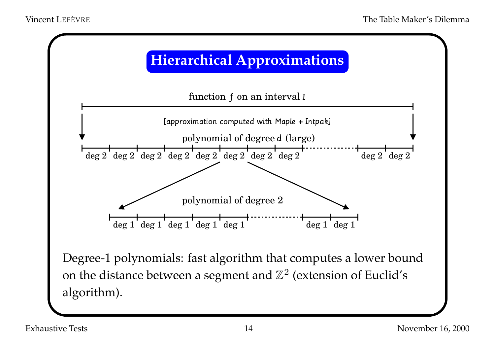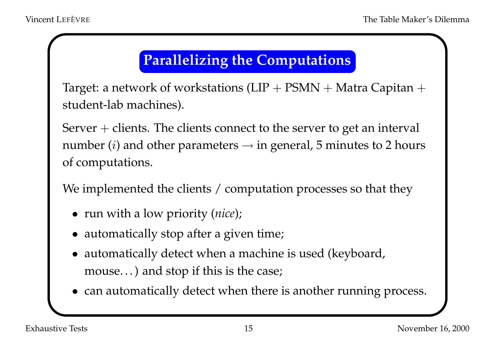## **Parallelizing the Computations**

Target: a network of workstations  $(LIP + PSMN + Matra$  Capitan  $+$ student-lab machines).

Server  $+$  clients. The clients connect to the server to get an interval number (*i*) and other parameters  $\rightarrow$  in general, 5 minutes to 2 hours of computations.

We implemented the clients / computation processes so that they

- run with <sup>a</sup> low priority (*nice*);
- automatically stop after <sup>a</sup> given time;
- automatically detect when <sup>a</sup> machine is used (keyboard, mouse. . .) and stop if this is the case;
- can automatically detect when there is another running process.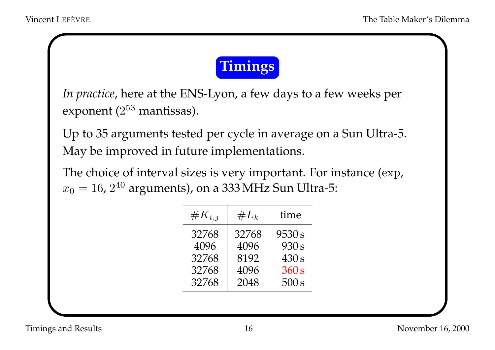

*In practice*, here at the ENS-Lyon, a few days to a few weeks per exponent  $(2^{53}$  mantissas).

Up to 35 arguments tested per cycle in average on <sup>a</sup> Sun Ultra-5. May be improved in future implementations.

The choice of interval sizes is very important. For instance (exp,  $x_0 = 16$ ,  $2^{40}$  arguments), on a 333 MHz Sun Ultra-5:

| $\#K_{i,j}$ | $\#L_k$ | time   |
|-------------|---------|--------|
| 32768       | 32768   | 9530 s |
| 4096        | 4096    | 930 s  |
| 32768       | 8192    | 430 s  |
| 32768       | 4096    | 360 s  |
| 32768       | 2048    | 500 s  |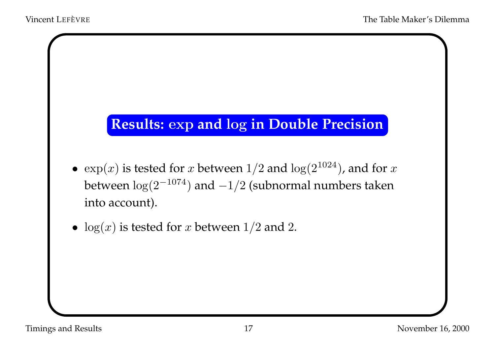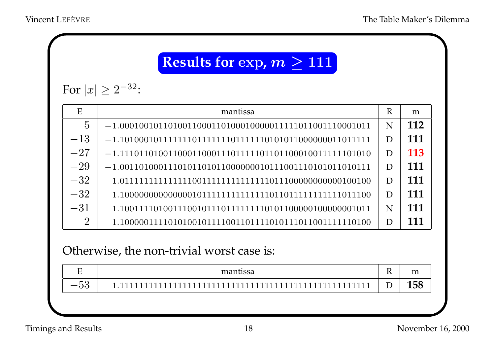## **Results for exp,**  $m \ge 111$

For  $|x| \geq 2^{-32}$ :

| E              | mantissa | R | m   |
|----------------|----------|---|-----|
| $\overline{5}$ |          | N | 112 |
| $-13$          |          | D | 111 |
| $-27$          |          | D | 113 |
| $-29$          |          | D | 111 |
| $-32$          |          | D | 111 |
| $-32$          |          | D | 111 |
| $-31$          |          | N | 111 |
| $\overline{2}$ |          | D | 111 |

#### Otherwise, the non-trivial worst case is:

| $\mathbf{\tau}$<br><u>_</u> | mantissa | $\mathbf{D}$<br>TZ. | m<br>-----      |
|-----------------------------|----------|---------------------|-----------------|
| $F \Omega$<br>_<br>U∪       | -        | $\blacksquare$<br>◡ | 1EQ<br>70<br>ᆂ୰ |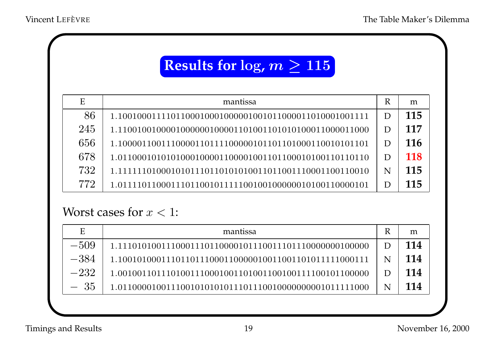## **Results for log,**  $m \geq 115$

| E   | mantissa                                               | R | m   |
|-----|--------------------------------------------------------|---|-----|
| 86  |                                                        | D | 115 |
| 245 |                                                        | D | 117 |
| 656 |                                                        | D | 116 |
| 678 |                                                        | D | 118 |
| 732 | 1.1111110100010101110110101010011011001110001100110010 | N | 115 |
| 772 |                                                        | D | 115 |

#### Worst cases for  $x < 1$ :

| E      | mantissa | R | m   |
|--------|----------|---|-----|
| $-509$ |          | D | 114 |
| $-384$ |          | N | 114 |
| $-232$ |          |   | 114 |
| - 35   |          | N | 114 |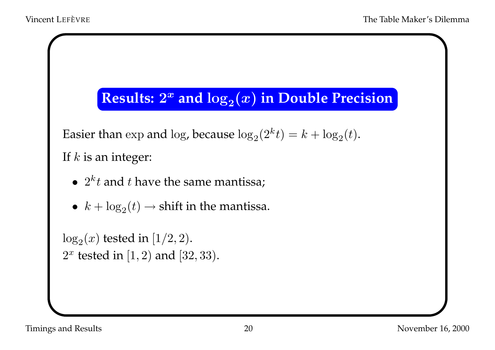## **Results:**  $2^x$  and  $\log_2(x)$  in Double Precision

Easier than  $\exp$  and  $\log$ , because  $\log_2(2^k t) = k + \log_2(t)$ .

If  $k$  is an integer:

- $2^k t$  and  $t$  have the same mantissa;
- $k + \log_2(t) \rightarrow$  shift in the mantissa.

```
\log_2(x) tested in [1/2, 2).
2^x tested in [1, 2) and [32, 33).
```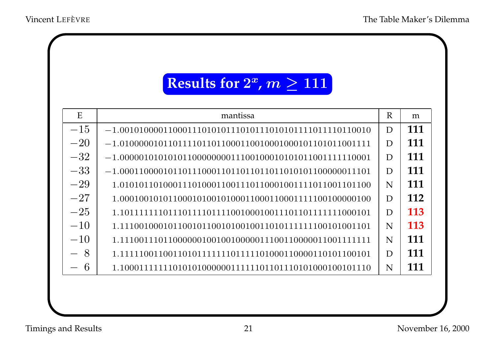## **Results for**  $2^x$ ,  $m \ge 111$

| E     | mantissa | $\mathbf R$ | m          |
|-------|----------|-------------|------------|
| $-15$ |          | D           | 111        |
| $-20$ |          | D           | 111        |
| $-32$ |          | D           | 111        |
| $-33$ |          | D           | 111        |
| $-29$ |          | N           | 111        |
| $-27$ |          | D           | 112        |
| $-25$ |          | D           | 113        |
| $-10$ |          | N           | <b>113</b> |
| $-10$ |          | N           | 111        |
| 8     |          | D           | 111        |
| 6     |          | N           | 111        |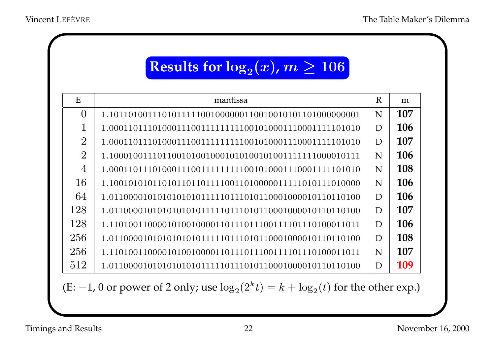# **Results for**  $\log_2(x)$ **,**  $m \ge 106$

| E              | mantissa | $\mathbb{R}$ | m   |
|----------------|----------|--------------|-----|
| $\Omega$       |          | N            | 107 |
|                |          | D            | 106 |
| $\overline{2}$ |          | D            | 107 |
| $\overline{2}$ |          | N            | 106 |
| $\overline{4}$ |          | N            | 108 |
| 16             |          | N            | 106 |
| 64             |          | D            | 106 |
| 128            |          | D            | 107 |
| 128            |          | D            | 106 |
| 256            |          | D            | 108 |
| 256            |          | N            | 107 |
| 512            |          | D            | 109 |

(E: -1, 0 or power of 2 only; use  $\log_2(2^k t) = k + \log_2(t)$  for the other exp.)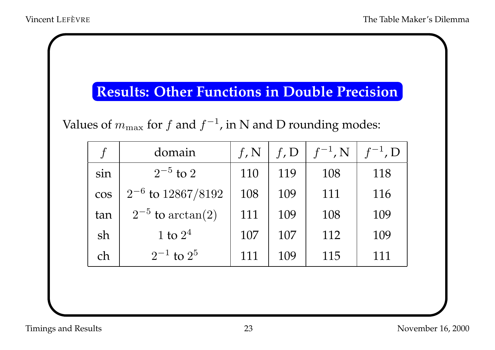## **Results: Other Functions in Double Precision**

Values of  $m_{\text{max}}$  for f and  $f^{-1}$ , in N and D rounding modes:

|            | domain                 | $f_{\rm \prime}$ N | $f$ , D | $f^{-1}$ , N | $f^{-1}$ , D |
|------------|------------------------|--------------------|---------|--------------|--------------|
| sin        | $2^{-5}$ to 2          | 110                | 119     | 108          | 118          |
| <b>COS</b> | $2^{-6}$ to 12867/8192 | 108                | 109     | 111          | 116          |
| tan        | $2^{-5}$ to arctan(2)  | 111                | 109     | 108          | 109          |
| sh         | 1 to $2^4$             | 107                | 107     | 112          | 109          |
| ch         | $2^{-1}$ to $2^5$      | 111                | 109     | 115          | 111          |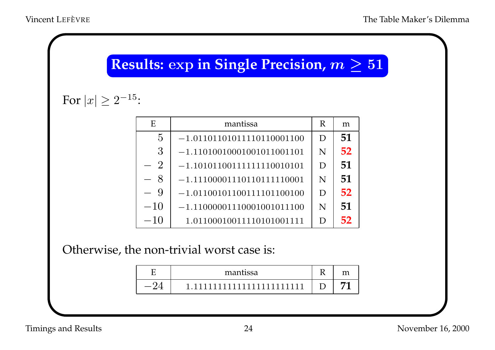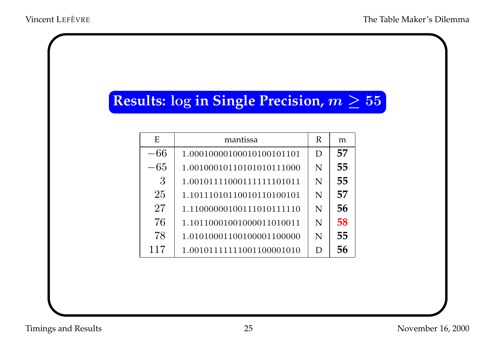## **Results:** log in Single Precision,  $m \geq 55$

| E     | mantissa                   | R | m  |
|-------|----------------------------|---|----|
| $-66$ | 1.00010000100010100101101  | D | 57 |
| $-65$ | 1.00100010110101010111000  | N | 55 |
| 3     | 1.00101111000111111101011  | N | 55 |
| 25    | 1.10111010110010110100101  | N | 57 |
| 27    | 1.110000001001110101111110 | N | 56 |
| 76    | 1.10110001001000011010011  | N | 58 |
| 78    | 1.01010001100100001100000  | N | 55 |
| 117   | 1.001011111111001100001010 | D | 56 |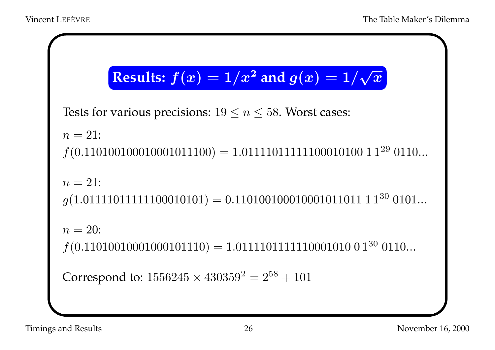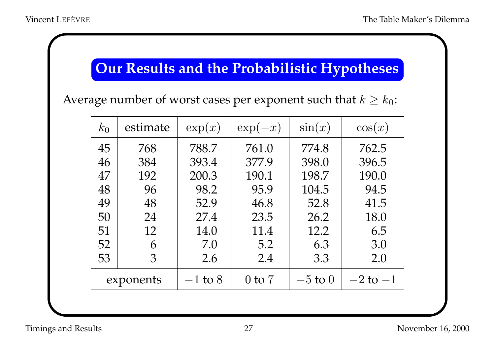## **Our Results and the Probabilistic Hypotheses**

Average number of worst cases per exponent such that  $k \geq k_0$ :

| $k_0$ | estimate  | $\exp(x)$ | $\exp(-x)$ | $\sin(x)$   | $\cos(x)$    |
|-------|-----------|-----------|------------|-------------|--------------|
| 45    | 768       | 788.7     | 761.0      | 774.8       | 762.5        |
| 46    | 384       | 393.4     | 377.9      | 398.0       | 396.5        |
| 47    | 192       | 200.3     | 190.1      | 198.7       | 190.0        |
| 48    | 96        | 98.2      | 95.9       | 104.5       | 94.5         |
| 49    | 48        | 52.9      | 46.8       | 52.8        | 41.5         |
| 50    | 24        | 27.4      | 23.5       | 26.2        | 18.0         |
| 51    | 12        | 14.0      | 11.4       | 12.2        | 6.5          |
| 52    | 6         | 7.0       | 5.2        | 6.3         | 3.0          |
| 53    | 3         | 2.6       | 2.4        | 3.3         | 2.0          |
|       | exponents | $-1$ to 8 | $0$ to $7$ | $-5$ to $0$ | $-2$ to $-1$ |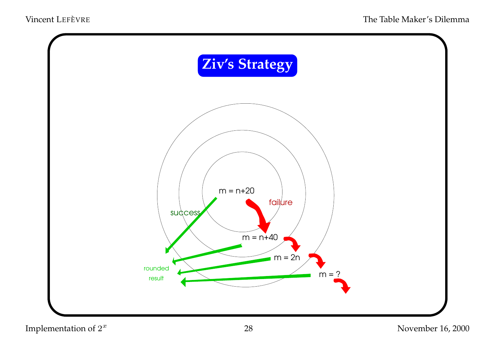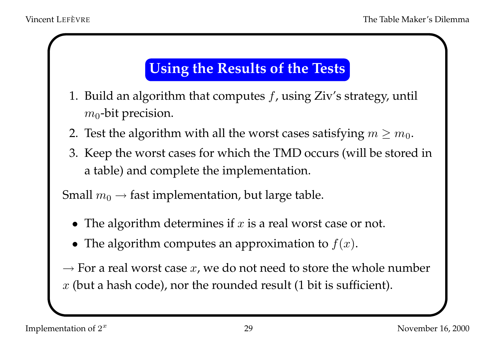## **Using the Results of the Tests**

- 1. Build an algorithm that computes  $f$ , using Ziv's strategy, until  $m_0$ -bit precision.
- 2. Test the algorithm with all the worst cases satisfying  $m \geq m_0$ .
- 3. Keep the worst cases for which the TMD occurs (will be stored in <sup>a</sup> table) and complete the implementation.

Small  $m_0 \rightarrow$  fast implementation, but large table.

- The algorithm determines if  $x$  is a real worst case or not.
- The algorithm computes an approximation to  $f(x)$ .

 $\rightarrow$  For a real worst case  $x$ , we do not need to store the whole number  $x$  (but a hash code), nor the rounded result (1 bit is sufficient).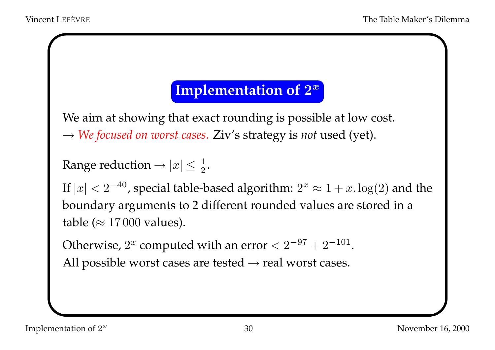## **Implementation of**  $2^x$

We aim at showing that exact rounding is possible at low cost. → *We focused on worst cases.* Ziv's strategy is *not* used (yet).

```
Range reduction \rightarrow |x| \leq \frac{1}{2}.
```
If  $|x| < 2^{-40}$ , special table-based algorithm:  $2^x \approx 1 + x \cdot \log(2)$  and the boundary arguments to <sup>2</sup> different rounded values are stored in <sup>a</sup> table ( $\approx 17000$  values).

Otherwise,  $2^x$  computed with an error  $< 2^{-97} + 2^{-101}$ . All possible worst cases are tested  $\rightarrow$  real worst cases.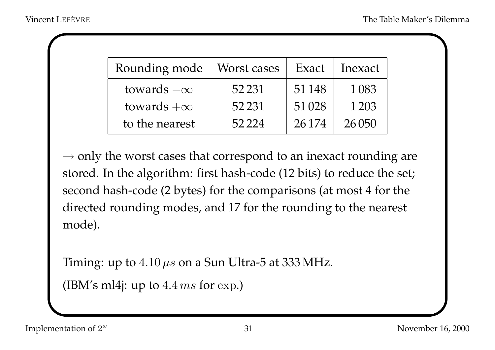| Rounding mode     | Worst cases | Exact   | Inexact |
|-------------------|-------------|---------|---------|
| towards $-\infty$ | 52 2 31     | 51148   | 1 0 8 3 |
| towards $+\infty$ | 52 2 31     | 51 0 28 | 1 2 0 3 |
| to the nearest    | 52.224      | 26174   | 26 050  |

 $\rightarrow$  only the worst cases that correspond to an inexact rounding are stored. In the algorithm: first hash-code (12 bits) to reduce the set; second hash-code (2 bytes) for the comparisons (at most <sup>4</sup> for the directed rounding modes, and <sup>17</sup> for the rounding to the nearest mode).

Timing: up to  $4.10 \,\mu s$  on a Sun Ultra-5 at 333 MHz.

(IBM's ml4j: up to  $4.4 \text{ ms}$  for exp.)